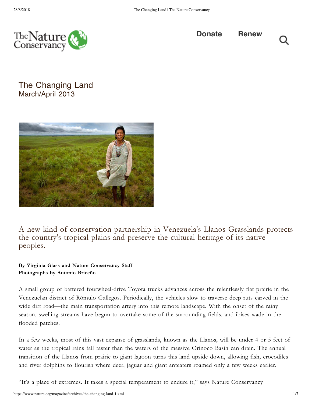



# The Changing Land March/April 2013



A new kind of conservation partnership in Venezuela's Llanos Grasslands protects the country's tropical plains and preserve the cultural heritage of its native peoples.

## **By Virginia Glass and Nature Conservancy Staff Photographs by Antonio Briceño**

A small group of battered fourwheel-drive Toyota trucks advances across the relentlessly flat prairie in the Venezuelan district of Rómulo Gallegos. Periodically, the vehicles slow to traverse deep ruts carved in the wide dirt road—the main transportation artery into this remote landscape. With the onset of the rainy season, swelling streams have begun to overtake some of the surrounding fields, and ibises wade in the flooded patches.

In a few weeks, most of this vast expanse of grasslands, known as the Llanos, will be under 4 or 5 feet of water as the tropical rains fall faster than the waters of the massive Orinoco Basin can drain. The annual transition of the Llanos from prairie to giant lagoon turns this land upside down, allowing fish, crocodiles and river dolphins to flourish where deer, jaguar and giant anteaters roamed only a few weeks earlier.

"It's a place of extremes. It takes a special temperament to endure it," says Nature Conservancy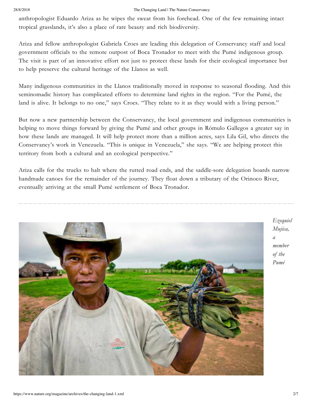### 28/8/2018 The Changing Land | The Nature Conservancy

anthropologist Eduardo Ariza as he wipes the sweat from his forehead. One of the few remaining intact tropical grasslands, it's also a place of rare beauty and rich biodiversity.

Ariza and fellow anthropologist Gabriela Croes are leading this delegation of Conservancy staff and local government officials to the remote outpost of Boca Tronador to meet with the Pumé indigenous group. The visit is part of an innovative effort not just to protect these lands for their ecological importance but to help preserve the cultural heritage of the Llanos as well.

Many indigenous communities in the Llanos traditionally moved in response to seasonal flooding. And this seminomadic history has complicated efforts to determine land rights in the region. "For the Pumé, the land is alive. It belongs to no one," says Croes. "They relate to it as they would with a living person."

But now a new partnership between the Conservancy, the local government and indigenous communities is helping to move things forward by giving the Pumé and other groups in Rómulo Gallegos a greater say in how these lands are managed. It will help protect more than a million acres, says Lila Gil, who directs the Conservancy's work in Venezuela. "This is unique in Venezuela," she says. "We are helping protect this territory from both a cultural and an ecological perspective."

Ariza calls for the trucks to halt where the rutted road ends, and the saddle-sore delegation boards narrow handmade canoes for the remainder of the journey. They float down a tributary of the Orinoco River, eventually arriving at the small Pumé settlement of Boca Tronador.



*Ezequiel Mujica, a member of the Pumé*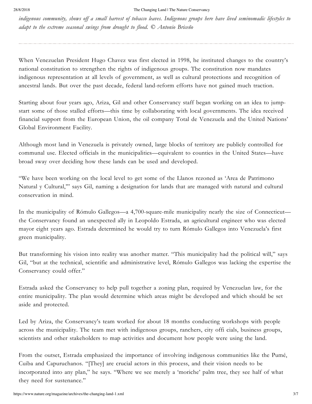indigenous community, shows off a small harvest of tobacco leaves. Indigenous groups here have lived seminomadic lifestyles to *adapt to the extreme seasonal swings from drought to flood. © Antonio Briceño*

When Venezuelan President Hugo Chavez was first elected in 1998, he instituted changes to the country's national constitution to strengthen the rights of indigenous groups. The constitution now mandates indigenous representation at all levels of government, as well as cultural protections and recognition of ancestral lands. But over the past decade, federal land-reform efforts have not gained much traction.

Starting about four years ago, Ariza, Gil and other Conservancy staff began working on an idea to jumpstart some of those stalled efforts—this time by collaborating with local governments. The idea received financial support from the European Union, the oil company Total de Venezuela and the United Nations' Global Environment Facility.

Although most land in Venezuela is privately owned, large blocks of territory are publicly controlled for communal use. Elected officials in the municipalities—equivalent to counties in the United States—have broad sway over deciding how these lands can be used and developed.

"We have been working on the local level to get some of the Llanos rezoned as 'Area de Patrimono Natural y Cultural,'" says Gil, naming a designation for lands that are managed with natural and cultural conservation in mind.

In the municipality of Rómulo Gallegos—a 4,700-square-mile municipality nearly the size of Connecticut the Conservancy found an unexpected ally in Leopoldo Estrada, an agricultural engineer who was elected mayor eight years ago. Estrada determined he would try to turn Rómulo Gallegos into Venezuela's first green municipality.

But transforming his vision into reality was another matter. "This municipality had the political will," says Gil, "but at the technical, scientific and administrative level, Rómulo Gallegos was lacking the expertise the Conservancy could offer."

Estrada asked the Conservancy to help pull together a zoning plan, required by Venezuelan law, for the entire municipality. The plan would determine which areas might be developed and which should be set aside and protected.

Led by Ariza, the Conservancy's team worked for about 18 months conducting workshops with people across the municipality. The team met with indigenous groups, ranchers, city offi cials, business groups, scientists and other stakeholders to map activities and document how people were using the land.

From the outset, Estrada emphasized the importance of involving indigenous communities like the Pumé, Cuiba and Capuruchanos. "[They] are crucial actors in this process, and their vision needs to be incorporated into any plan," he says. "Where we see merely a 'moriche' palm tree, they see half of what they need for sustenance."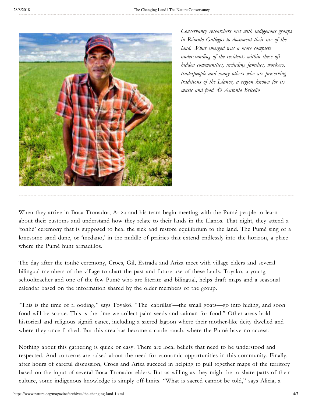

*Conservancy researchers met with indigenous groups in Rómulo Gallegos to document their use of the land. What emerged was a more complete understanding of the residents within these ofthidden communities, including families, workers, tradespeople and many others who are preserving traditions of the Llanos, a region known for its music and food. © Antonio Briceño*

When they arrive in Boca Tronador, Ariza and his team begin meeting with the Pumé people to learn about their customs and understand how they relate to their lands in the Llanos. That night, they attend a 'tonhé' ceremony that is supposed to heal the sick and restore equilibrium to the land. The Pumé sing of a lonesome sand dune, or 'medano,' in the middle of prairies that extend endlessly into the horizon, a place where the Pumé hunt armadillos.

The day after the tonhé ceremony, Croes, Gil, Estrada and Ariza meet with village elders and several bilingual members of the village to chart the past and future use of these lands. Toyakö, a young schoolteacher and one of the few Pumé who are literate and bilingual, helps draft maps and a seasonal calendar based on the information shared by the older members of the group.

"This is the time of fl ooding," says Toyakö. "The 'cabrillas'—the small goats—go into hiding, and soon food will be scarce. This is the time we collect palm seeds and caiman for food." Other areas hold historical and religious signifi cance, including a sacred lagoon where their mother-like deity dwelled and where they once fi shed. But this area has become a cattle ranch, where the Pumé have no access.

Nothing about this gathering is quick or easy. There are local beliefs that need to be understood and respected. And concerns are raised about the need for economic opportunities in this community. Finally, after hours of careful discussion, Croes and Ariza succeed in helping to pull together maps of the territory based on the input of several Boca Tronador elders. But as willing as they might be to share parts of their culture, some indigenous knowledge is simply off-limits. "What is sacred cannot be told," says Alicia, a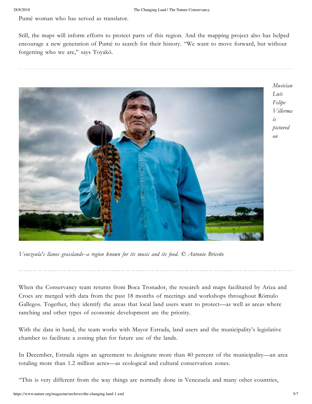Pumé woman who has served as translator.

Still, the maps will inform efforts to protect parts of this region. And the mapping project also has helped encourage a new generation of Pumé to search for their history. "We want to move forward, but without forgetting who we are," says Toyakö.



*Venezeula's llanos grasslands--a region known for its music and its food. © Antonio Briceño*

When the Conservancy team returns from Boca Tronador, the research and maps facilitated by Ariza and Croes are merged with data from the past 18 months of meetings and workshops throughout Rómulo Gallegos. Together, they identify the areas that local land users want to protect—as well as areas where ranching and other types of economic development are the priority.

With the data in hand, the team works with Mayor Estrada, land users and the municipality's legislative chamber to facilitate a zoning plan for future use of the lands.

In December, Estrada signs an agreement to designate more than 40 percent of the municipality—an area totaling more than 1.2 million acres—as ecological and cultural conservation zones.

"This is very different from the way things are normally done in Venezuela and many other countries,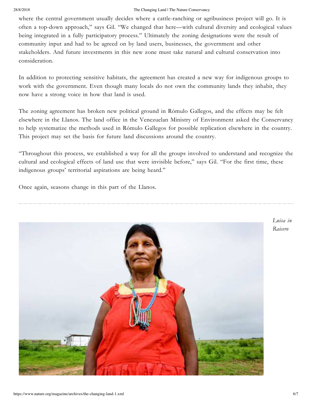### 28/8/2018 The Changing Land | The Nature Conservancy

where the central government usually decides where a cattle-ranching or agribusiness project will go. It is often a top-down approach," says Gil. "We changed that here—with cultural diversity and ecological values being integrated in a fully participatory process." Ultimately the zoning designations were the result of community input and had to be agreed on by land users, businesses, the government and other stakeholders. And future investments in this new zone must take natural and cultural conservation into consideration.

In addition to protecting sensitive habitats, the agreement has created a new way for indigenous groups to work with the government. Even though many locals do not own the community lands they inhabit, they now have a strong voice in how that land is used.

The zoning agreement has broken new political ground in Rómulo Gallegos, and the effects may be felt elsewhere in the Llanos. The land office in the Venezuelan Ministry of Environment asked the Conservancy to help systematize the methods used in Rómulo Gallegos for possible replication elsewhere in the country. This project may set the basis for future land discussions around the country.

"Throughout this process, we established a way for all the groups involved to understand and recognize the cultural and ecological effects of land use that were invisible before," says Gil. "For the first time, these indigenous groups' territorial aspirations are being heard."

Once again, seasons change in this part of the Llanos.